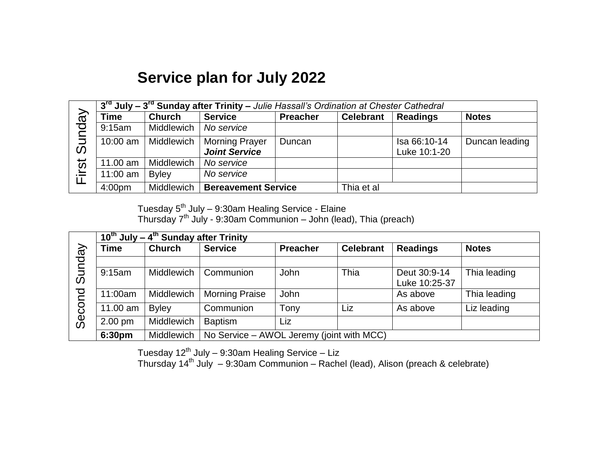## **Service plan for July 2022**

|                                | 3 <sup>rd</sup> July – 3 <sup>rd</sup> Sunday after Trinity – Julie Hassall's Ordination at Chester Cathedral |               |                                               |                 |                  |                              |                |  |
|--------------------------------|---------------------------------------------------------------------------------------------------------------|---------------|-----------------------------------------------|-----------------|------------------|------------------------------|----------------|--|
| vepu<br>$\bar{5}$<br>$\bar{O}$ | Time                                                                                                          | <b>Church</b> | <b>Service</b>                                | <b>Preacher</b> | <b>Celebrant</b> | <b>Readings</b>              | <b>Notes</b>   |  |
|                                | 9:15am                                                                                                        | Middlewich    | No service                                    |                 |                  |                              |                |  |
|                                | $10:00$ am                                                                                                    | Middlewich    | <b>Morning Prayer</b><br><b>Joint Service</b> | Duncan          |                  | Isa 66:10-14<br>Luke 10:1-20 | Duncan leading |  |
| irst                           | 11.00 am                                                                                                      | Middlewich    | No service                                    |                 |                  |                              |                |  |
| iΞ                             | $11:00$ am                                                                                                    | <b>Byley</b>  | No service                                    |                 |                  |                              |                |  |
|                                | 4:00 <sub>pm</sub>                                                                                            | Middlewich    | <b>Bereavement Service</b>                    |                 | Thia et al       |                              |                |  |

Tuesday 5<sup>th</sup> July – 9:30am Healing Service - Elaine Thursday 7 th July - 9:30am Communion – John (lead), Thia (preach)

|        | $10^{th}$ July – 4 <sup>th</sup> Sunday after Trinity |               |                                           |                 |                  |                 |              |  |
|--------|-------------------------------------------------------|---------------|-------------------------------------------|-----------------|------------------|-----------------|--------------|--|
|        | Time                                                  | <b>Church</b> | <b>Service</b>                            | <b>Preacher</b> | <b>Celebrant</b> | <b>Readings</b> | <b>Notes</b> |  |
| Sunday |                                                       |               |                                           |                 |                  |                 |              |  |
|        | 9:15am                                                | Middlewich    | Communion                                 | John            | Thia             | Deut 30:9-14    | Thia leading |  |
|        |                                                       |               |                                           |                 |                  | Luke 10:25-37   |              |  |
|        | 11:00am                                               | Middlewich    | <b>Morning Praise</b>                     | John            |                  | As above        | Thia leading |  |
| Second | 11.00 am                                              | <b>Byley</b>  | Communion                                 | Tony            | Liz              | As above        | Liz leading  |  |
|        | $2.00 \text{ pm}$                                     | Middlewich    | <b>Baptism</b>                            | Liz             |                  |                 |              |  |
|        | 6:30pm                                                | Middlewich    | No Service – AWOL Jeremy (joint with MCC) |                 |                  |                 |              |  |

Tuesday 12<sup>th</sup> July – 9:30am Healing Service – Liz

Thursday 14 th July – 9:30am Communion – Rachel (lead), Alison (preach & celebrate)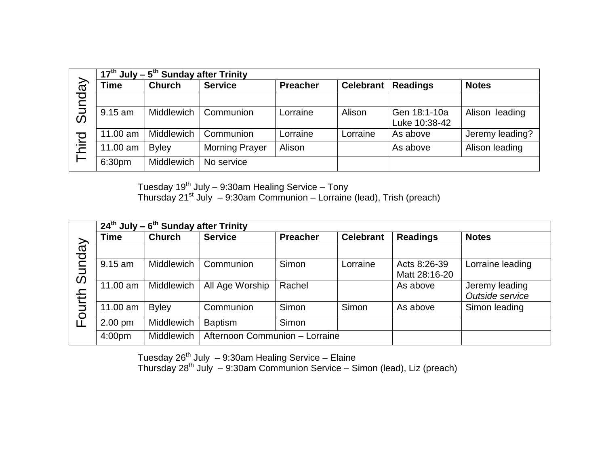|                                  | $17th$ July – 5 <sup>th</sup> Sunday after Trinity |                   |                       |                 |                  |                               |                   |  |
|----------------------------------|----------------------------------------------------|-------------------|-----------------------|-----------------|------------------|-------------------------------|-------------------|--|
| $\overline{\overline{6}}$        | Time                                               | <b>Church</b>     | <b>Service</b>        | <b>Preacher</b> | <b>Celebrant</b> | <b>Readings</b>               | <b>Notes</b>      |  |
| DO.                              |                                                    |                   |                       |                 |                  |                               |                   |  |
| $\bar{z}$<br>$\bar{\mathcal{O}}$ | $9.15$ am                                          | Middlewich        | Communion             | Lorraine        | Alison           | Gen 18:1-10a<br>Luke 10:38-42 | Alison<br>leading |  |
|                                  | 11.00 am                                           | Middlewich        | Communion             | Lorraine        | Lorraine         | As above                      | Jeremy leading?   |  |
| hird                             | 11.00 am                                           | <b>Byley</b>      | <b>Morning Prayer</b> | Alison          |                  | As above                      | Alison leading    |  |
|                                  | 6:30pm                                             | <b>Middlewich</b> | No service            |                 |                  |                               |                   |  |

Tuesday 19 $^{\text{th}}$  July – 9:30am Healing Service – Tony

Thursday 21<sup>st</sup> July - 9:30am Communion - Lorraine (lead), Trish (preach)

|        | $\overline{24^{th}}$ July – 6 <sup>th</sup> Sunday after Trinity |                   |                 |                                |                  |                               |                                   |  |  |
|--------|------------------------------------------------------------------|-------------------|-----------------|--------------------------------|------------------|-------------------------------|-----------------------------------|--|--|
|        | Time                                                             | <b>Church</b>     | <b>Service</b>  | <b>Preacher</b>                | <b>Celebrant</b> | <b>Readings</b>               | <b>Notes</b>                      |  |  |
|        |                                                                  |                   |                 |                                |                  |                               |                                   |  |  |
| Sunday | $9.15$ am                                                        | Middlewich        | Communion       | <b>Simon</b>                   | Lorraine         | Acts 8:26-39<br>Matt 28:16-20 | Lorraine leading                  |  |  |
|        | 11.00 am                                                         | Middlewich        | All Age Worship | Rachel                         |                  | As above                      | Jeremy leading<br>Outside service |  |  |
| ourth  | 11.00 am                                                         | <b>Byley</b>      | Communion       | <b>Simon</b>                   | Simon            | As above                      | Simon leading                     |  |  |
| LĽ     | $2.00$ pm                                                        | Middlewich        | <b>Baptism</b>  | Simon                          |                  |                               |                                   |  |  |
|        | 4:00 <sub>pm</sub>                                               | <b>Middlewich</b> |                 | Afternoon Communion - Lorraine |                  |                               |                                   |  |  |

Tuesday 26 th July – 9:30am Healing Service – Elaine

Thursday 28<sup>th</sup> July – 9:30am Communion Service – Simon (lead), Liz (preach)